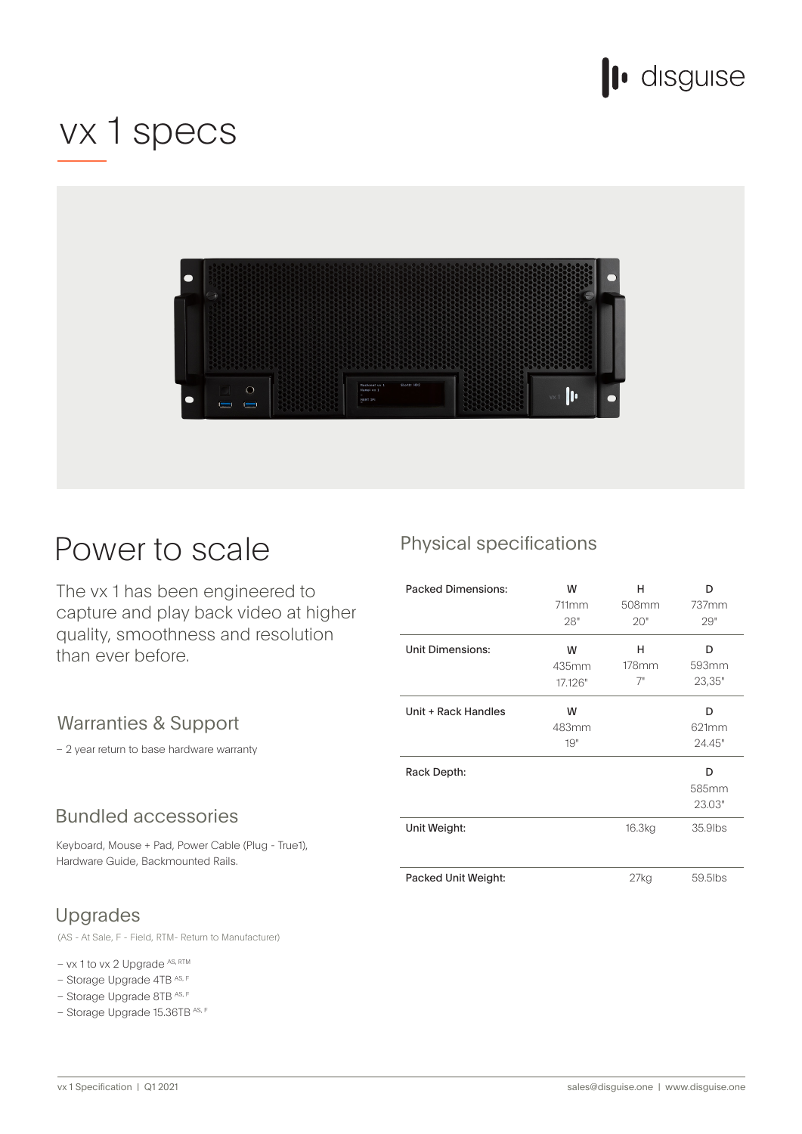

## vx 1 specs



## Power to scale

The vx 1 has been engineered to capture and play back video at higher quality, smoothness and resolution than ever before.

### Warranties & Support

- 2 year return to base hardware warranty

### **Bundled accessories**

Keyboard, Mouse + Pad, Power Cable (Plug - True1), Hardware Guide, Backmounted Rails.

## Upgrades

(AS - At Sale, F - Field, RTM - Return to Manufacturer)

 $-$  vx 1 to vx 2 Upgrade  $ASS, RTM$ 

- Storage Upgrade 4TB AS, F
- Storage Upgrade 8TB AS, F
- $-$  Storage Upgrade 15.36TB AS, F

### Physical specifications

| <b>Packed Dimensions:</b> | W<br>711mm<br>28"     | н<br>508mm<br>20"   | D<br>737mm<br>29"    |
|---------------------------|-----------------------|---------------------|----------------------|
| <b>Unit Dimensions:</b>   | W<br>435mm<br>17.126" | н<br>$178$ mm<br>7" | D<br>593mm<br>23,35" |
| Unit + Rack Handles       | W<br>483mm<br>19"     |                     | D<br>621mm<br>24.45" |
| Rack Depth:               |                       |                     | D<br>585mm<br>23.03" |
| Unit Weight:              |                       | 16.3kg              | 35,9lbs              |
| Packed Unit Weight:       |                       | 27kg                | 59.5lbs              |